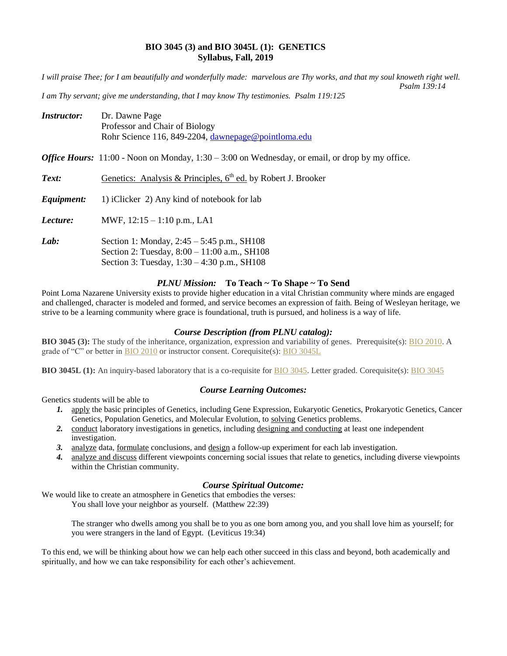### **BIO 3045 (3) and BIO 3045L (1): GENETICS Syllabus, Fall, 2019**

*I will praise Thee; for I am beautifully and wonderfully made: marvelous are Thy works, and that my soul knoweth right well. Psalm 139:14*

*I am Thy servant; give me understanding, that I may know Thy testimonies. Psalm 119:125*

Section 3: Tuesday, 1:30 – 4:30 p.m., SH108

| <b>Instructor:</b> | Dr. Dawne Page<br>Professor and Chair of Biology<br>Rohr Science 116, 849-2204, dawnepage@pointloma.edu  |  |  |
|--------------------|----------------------------------------------------------------------------------------------------------|--|--|
|                    | <i>Office Hours:</i> 11:00 - Noon on Monday, $1:30 - 3:00$ on Wednesday, or email, or drop by my office. |  |  |
| Text:              | Genetics: Analysis & Principles, $6th$ ed. by Robert J. Brooker                                          |  |  |
| Equipment:         | 1) iClicker 2) Any kind of notebook for lab                                                              |  |  |
| Lecture:           | MWF, $12:15 - 1:10$ p.m., LA1                                                                            |  |  |
| Lab:               | Section 1: Monday, $2:45 - 5:45$ p.m., SH108<br>Section 2: Tuesday, 8:00 - 11:00 a.m., SH108             |  |  |

# *PLNU Mission:* **To Teach ~ To Shape ~ To Send**

Point Loma Nazarene University exists to provide higher education in a vital Christian community where minds are engaged and challenged, character is modeled and formed, and service becomes an expression of faith. Being of Wesleyan heritage, we strive to be a learning community where grace is foundational, truth is pursued, and holiness is a way of life.

## *Course Description (from PLNU catalog):*

**BIO 3045 (3):** The study of the inheritance, organization, expression and variability of genes. Prerequisite(s): [BIO 2010.](https://catalog.pointloma.edu/content.php?filter%5B27%5D=BIO&filter%5B29%5D=&filter%5Bcourse_type%5D=-1&filter%5Bkeyword%5D=&filter%5B32%5D=1&filter%5Bcpage%5D=1&cur_cat_oid=41&expand=&navoid=2443&search_database=Filter#tt7937) A grade of "C" or better in **[BIO 2010](https://catalog.pointloma.edu/content.php?filter%5B27%5D=BIO&filter%5B29%5D=&filter%5Bcourse_type%5D=-1&filter%5Bkeyword%5D=&filter%5B32%5D=1&filter%5Bcpage%5D=1&cur_cat_oid=41&expand=&navoid=2443&search_database=Filter#tt3162)** or instructor consent. Corequisite(s): **[BIO 3045L](https://catalog.pointloma.edu/content.php?filter%5B27%5D=BIO&filter%5B29%5D=&filter%5Bcourse_type%5D=-1&filter%5Bkeyword%5D=&filter%5B32%5D=1&filter%5Bcpage%5D=1&cur_cat_oid=41&expand=&navoid=2443&search_database=Filter#tt3199)** 

**BIO 3045L (1):** An inquiry-based laboratory that is a co-requisite for [BIO 3045.](https://catalog.pointloma.edu/content.php?filter%5B27%5D=BIO&filter%5B29%5D=&filter%5Bcourse_type%5D=-1&filter%5Bkeyword%5D=&filter%5B32%5D=1&filter%5Bcpage%5D=1&cur_cat_oid=41&expand=&navoid=2443&search_database=Filter#tt7320) Letter graded. Corequisite(s): [BIO 3045](https://catalog.pointloma.edu/content.php?filter%5B27%5D=BIO&filter%5B29%5D=&filter%5Bcourse_type%5D=-1&filter%5Bkeyword%5D=&filter%5B32%5D=1&filter%5Bcpage%5D=1&cur_cat_oid=41&expand=&navoid=2443&search_database=Filter#tt9428)

### *Course Learning Outcomes:*

Genetics students will be able to

- *1.* apply the basic principles of Genetics, including Gene Expression, Eukaryotic Genetics, Prokaryotic Genetics, Cancer Genetics, Population Genetics, and Molecular Evolution, to solving Genetics problems.
- *2.* conduct laboratory investigations in genetics, including designing and conducting at least one independent investigation.
- *3.* analyze data, formulate conclusions, and design a follow-up experiment for each lab investigation.
- *4.* analyze and discuss different viewpoints concerning social issues that relate to genetics, including diverse viewpoints within the Christian community.

### *Course Spiritual Outcome:*

We would like to create an atmosphere in Genetics that embodies the verses: You shall love your neighbor as yourself. (Matthew 22:39)

> The stranger who dwells among you shall be to you as one born among you, and you shall love him as yourself; for you were strangers in the land of Egypt. (Leviticus 19:34)

To this end, we will be thinking about how we can help each other succeed in this class and beyond, both academically and spiritually, and how we can take responsibility for each other's achievement.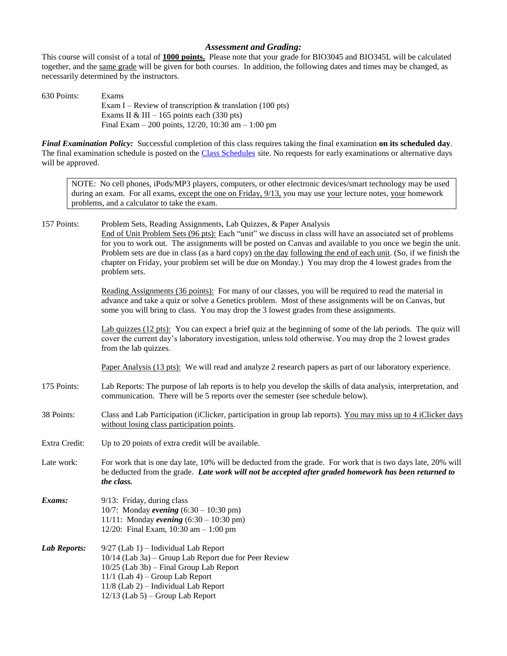### *Assessment and Grading:*

This course will consist of a total of **1000 points.** Please note that your grade for BIO3045 and BIO345L will be calculated together, and the same grade will be given for both courses. In addition, the following dates and times may be changed, as necessarily determined by the instructors.

630 Points: Exams Exam I – Review of transcription  $&$  translation (100 pts) Exams II & III – 165 points each  $(330 \text{ pts})$ Final Exam – 200 points, 12/20, 10:30 am – 1:00 pm

*Final Examination Policy:* Successful completion of this class requires taking the final examination **on its scheduled day**. The final examination schedule is posted on the [Class Schedules](https://www.pointloma.edu/offices/records/undergraduate-records) site. No requests for early examinations or alternative days will be approved.

NOTE: No cell phones, iPods/MP3 players, computers, or other electronic devices/smart technology may be used during an exam. For all exams, except the one on Friday,  $9/13$ , you may use your lecture notes, your homework problems, and a calculator to take the exam.

157 Points: Problem Sets, Reading Assignments, Lab Quizzes, & Paper Analysis End of Unit Problem Sets (96 pts): Each "unit" we discuss in class will have an associated set of problems for you to work out. The assignments will be posted on Canvas and available to you once we begin the unit. Problem sets are due in class (as a hard copy) <u>on the day following the end of each unit</u>. (So, if we finish the chapter on Friday, your problem set will be due on Monday.) You may drop the 4 lowest grades from the problem sets.

> Reading Assignments (36 points): For many of our classes, you will be required to read the material in advance and take a quiz or solve a Genetics problem. Most of these assignments will be on Canvas, but some you will bring to class. You may drop the 3 lowest grades from these assignments.

Lab quizzes (12 pts): You can expect a brief quiz at the beginning of some of the lab periods. The quiz will cover the current day's laboratory investigation, unless told otherwise. You may drop the 2 lowest grades from the lab quizzes.

Paper Analysis (13 pts): We will read and analyze 2 research papers as part of our laboratory experience.

- 175 Points: Lab Reports: The purpose of lab reports is to help you develop the skills of data analysis, interpretation, and communication. There will be 5 reports over the semester (see schedule below).
- 38 Points: Class and Lab Participation (iClicker, participation in group lab reports). You may miss up to 4 iClicker days without losing class participation points.
- Extra Credit: Up to 20 points of extra credit will be available.
- Late work: For work that is one day late, 10% will be deducted from the grade. For work that is two days late, 20% will be deducted from the grade. *Late work will not be accepted after graded homework has been returned to the class.*
- *Exams:* 9/13: Friday, during class 10/7: Monday *evening* (6:30 – 10:30 pm) 11/11: Monday *evening* (6:30 – 10:30 pm) 12/20: Final Exam, 10:30 am – 1:00 pm
- *Lab Reports:* 9/27 (Lab 1) Individual Lab Report 10/14 (Lab 3a) – Group Lab Report due for Peer Review 10/25 (Lab 3b) – Final Group Lab Report 11/1 (Lab 4) – Group Lab Report 11/8 (Lab 2) – Individual Lab Report 12/13 (Lab 5) – Group Lab Report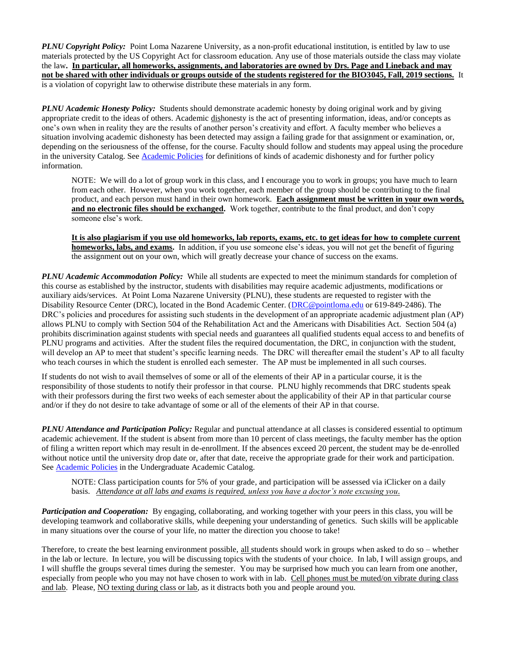*PLNU Copyright Policy:* Point Loma Nazarene University, as a non-profit educational institution, is entitled by law to use materials protected by the US Copyright Act for classroom education. Any use of those materials outside the class may violate the law**.****In particular, all homeworks, assignments, and laboratories are owned by Drs. Page and Lineback and may not be shared with other individuals or groups outside of the students registered for the BIO3045, Fall, 2019 sections.** It is a violation of copyright law to otherwise distribute these materials in any form.

*PLNU Academic Honesty Policy:* Students should demonstrate academic honesty by doing original work and by giving appropriate credit to the ideas of others. Academic dishonesty is the act of presenting information, ideas, and/or concepts as one's own when in reality they are the results of another person's creativity and effort. A faculty member who believes a situation involving academic dishonesty has been detected may assign a failing grade for that assignment or examination, or, depending on the seriousness of the offense, for the course. Faculty should follow and students may appeal using the procedure in the university Catalog. See [Academic Policies](https://catalog.pointloma.edu/content.php?catoid=41&navoid=2435) for definitions of kinds of academic dishonesty and for further policy information.

NOTE: We will do a lot of group work in this class, and I encourage you to work in groups; you have much to learn from each other. However, when you work together, each member of the group should be contributing to the final product, and each person must hand in their own homework. **Each assignment must be written in your own words, and no electronic files should be exchanged.** Work together, contribute to the final product, and don't copy someone else's work.

**It is also plagiarism if you use old homeworks, lab reports, exams, etc. to get ideas for how to complete current homeworks, labs, and exams.** In addition, if you use someone else's ideas, you will not get the benefit of figuring the assignment out on your own, which will greatly decrease your chance of success on the exams.

*PLNU Academic Accommodation Policy:* While all students are expected to meet the minimum standards for completion of this course as established by the instructor, students with disabilities may require academic adjustments, modifications or auxiliary aids/services. At Point Loma Nazarene University (PLNU), these students are requested to register with the Disability Resource Center (DRC), located in the Bond Academic Center. [\(DRC@pointloma.edu](mailto:DRC@pointloma.edu) or 619-849-2486). The DRC's policies and procedures for assisting such students in the development of an appropriate academic adjustment plan (AP) allows PLNU to comply with Section 504 of the Rehabilitation Act and the Americans with Disabilities Act. Section 504 (a) prohibits discrimination against students with special needs and guarantees all qualified students equal access to and benefits of PLNU programs and activities. After the student files the required documentation, the DRC, in conjunction with the student, will develop an AP to meet that student's specific learning needs. The DRC will thereafter email the student's AP to all faculty who teach courses in which the student is enrolled each semester. The AP must be implemented in all such courses.

If students do not wish to avail themselves of some or all of the elements of their AP in a particular course, it is the responsibility of those students to notify their professor in that course. PLNU highly recommends that DRC students speak with their professors during the first two weeks of each semester about the applicability of their AP in that particular course and/or if they do not desire to take advantage of some or all of the elements of their AP in that course.

*PLNU Attendance and Participation Policy:* Regular and punctual attendance at all classes is considered essential to optimum academic achievement. If the student is absent from more than 10 percent of class meetings, the faculty member has the option of filing a written report which may result in de-enrollment. If the absences exceed 20 percent, the student may be de-enrolled without notice until the university drop date or, after that date, receive the appropriate grade for their work and participation. See [Academic Policies](https://catalog.pointloma.edu/content.php?catoid=41&navoid=2435) in the Undergraduate Academic Catalog.

NOTE: Class participation counts for 5% of your grade, and participation will be assessed via iClicker on a daily basis. *Attendance at all labs and exams is required, unless you have a doctor's note excusing you.*

*Participation and Cooperation:* By engaging, collaborating, and working together with your peers in this class, you will be developing teamwork and collaborative skills, while deepening your understanding of genetics. Such skills will be applicable in many situations over the course of your life, no matter the direction you choose to take!

Therefore, to create the best learning environment possible,  $\underline{\text{all}}$  students should work in groups when asked to do so – whether in the lab or lecture. In lecture, you will be discussing topics with the students of your choice. In lab, I will assign groups, and I will shuffle the groups several times during the semester. You may be surprised how much you can learn from one another, especially from people who you may not have chosen to work with in lab. Cell phones must be muted/on vibrate during class and lab. Please, NO texting during class or lab, as it distracts both you and people around you.